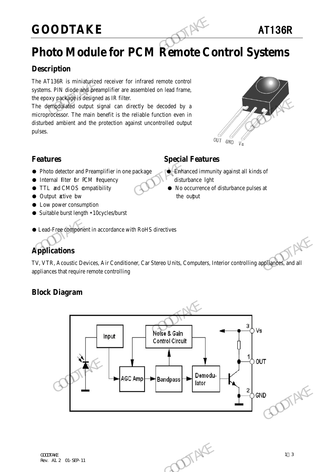### **GOODTAKE** AT136R

### **Photo Module for PCM Remote Control Systems**

### **Description**

The AT136R is miniaturized receiver for infrared remote control systems. PIN diode and preamplifier are assembled on lead frame, the epoxy package is designed as IR filter.

The demodulated output signal can directly be decoded by a microprocessor. The main benefit is the reliable function even in disturbed ambient and the protection against uncontrolled output pulses. GOODTAKE<br>
Photo Module for PCM Remote Connection<br>
The AT136R is miniaturized receiver for infrared remote control<br>
systems. PIN diode and preamplifier are assembled on lead frame,<br>
the epoxy package is designed as IR filte The demographique is a six that interior controlling<br>
The demographical doutput signal can directly be decoded by a<br>
microprocessor. The main benefit is the reliable function even in<br>
disturbed ambient and the protection a



### **Features Special Features**

- Photo detector and Preamplifier in one package Binhanced immunity against all kinds of
- Internal filter for PCM fequency disturbance light
- TTL and CMOS compatibility No occurrence of disturbance pulses at
- Output active bw the output the output
- Low power consumption
- Suitable burst length 10cycles/burst

#### ● Lead-Free component in accordance with RoHS directives

### **Applications**

TV, VTR, Acoustic Devices, Air Conditioner, Car Stereo Units, Computers, Interior controlling appliances, and all appliances that require remote controlling

### **Block Diagram**

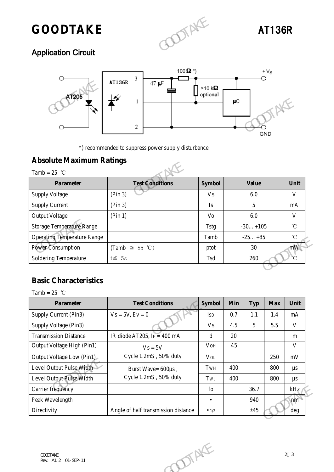## **GOODTAKE** AT136R

### Application Circuit



### **Absolute Maximum Ratings**

|                                                   | 2                                                   |               | μC<br>GND    |
|---------------------------------------------------|-----------------------------------------------------|---------------|--------------|
| <b>Absolute Maximum Ratings</b><br>Tamb = $25$ °C | *) recommended to suppress power supply disturbance |               |              |
| <b>Parameter</b>                                  | <b>Test Conditions</b>                              | <b>Symbol</b> | <b>Value</b> |
| <b>Supply Voltage</b>                             | (Pin 3)                                             | <b>Vs</b>     | 6.0          |
| <b>Supply Current</b>                             | (Pin 3)                                             | Is            | 5            |
| <b>Output Voltage</b>                             | (Pin 1)                                             | Vo            | 6.0          |
| <b>Storage Temperature Range</b>                  |                                                     | <b>Tstg</b>   | $-30+105$    |
|                                                   |                                                     |               |              |
| <b>Operating Temperature Range</b>                |                                                     | Tamb          | $-25+85$     |
| <b>Power Consumption</b>                          | (Tamb $\leq$ 85 °C)                                 | ptot          | 30           |

### **Basic Characteristics**

| Operating Temperature Range  |                                     | Tanio         |            | $-23+03$ |            | ◡              |  |
|------------------------------|-------------------------------------|---------------|------------|----------|------------|----------------|--|
| <b>Power Consumption</b>     | (Tamb $\leq$ 85 °C)                 | ptot          |            | 30       |            | mW             |  |
| <b>Soldering Temperature</b> | $t \leq 5s$                         | Tsd           | 260        |          |            | $\overline{C}$ |  |
|                              |                                     |               |            |          |            |                |  |
| <b>Basic Characteristics</b> |                                     |               |            |          |            |                |  |
| Tamb = 25 $^{\circ}$ C       |                                     |               |            |          |            |                |  |
| <b>Parameter</b>             | <b>Test Conditions</b>              | <b>Symbol</b> | <b>Min</b> | Typ      | <b>Max</b> | Unit           |  |
| Supply Current (Pin3)        | $Vs = 5V, Ev = 0$                   | <b>ISD</b>    | 0.7        | 1.1      | 1.4        | mA             |  |
| Supply Voltage (Pin3)        |                                     | <b>Vs</b>     | 4.5        | 5        | 5.5        | $\mathbf{V}$   |  |
| <b>Transmission Distance</b> | IR diode AT205, IF = $400$ mA       | $\mathbf d$   | 20         |          |            | m              |  |
| Output Voltage High (Pin1)   | $Vs = 5V$                           | <b>VOH</b>    | 4.5        |          |            | V              |  |
| Output Voltage Low (Pin1)    | Cycle 1.2mS, 50% duty               | $V_{OL}$      |            |          | 250        | $\rm mV$       |  |
| Level Output Pulse Width     | Burst Wave= 600µs,                  | TWH           | 400        |          | 800        | $\mu s$        |  |
| Level Output Pulse Width     | Cycle 1.2mS, 50% duty               | TwL           | 400        |          | 800        | $\mu s$        |  |
| Carrier frequency            |                                     | fo            |            | 36.7     |            | kHz            |  |
| Peak Wavelength              |                                     | $\bullet$     |            | 940      |            | nm             |  |
| Directivity                  | Angle of half transmission distance | $\bullet$ 1/2 |            | ±45      |            | $\deg$         |  |
|                              |                                     |               |            |          |            |                |  |
|                              |                                     |               |            |          |            |                |  |
|                              |                                     |               |            |          |            |                |  |
| COODTAKE                     | DIENE                               |               |            |          |            | 2 <sup>3</sup> |  |
| Rev. A1. 2 01-SEP-11         |                                     |               |            |          |            |                |  |
|                              |                                     |               |            |          |            |                |  |